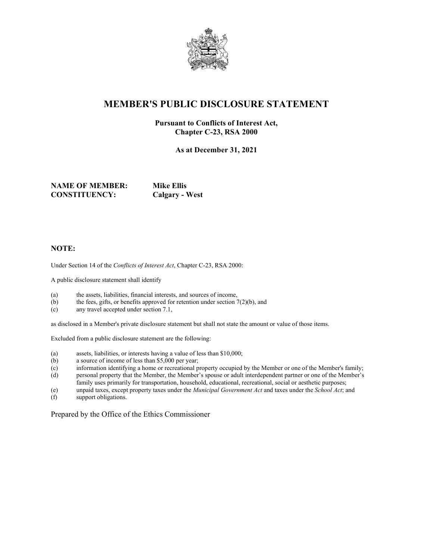

## **MEMBER'S PUBLIC DISCLOSURE STATEMENT**

#### **Pursuant to Conflicts of Interest Act, Chapter C-23, RSA 2000**

**As at December 31, 2021**

**NAME OF MEMBER: Mike Ellis CONSTITUENCY: Calgary - West**

#### **NOTE:**

Under Section 14 of the *Conflicts of Interest Act*, Chapter C-23, RSA 2000:

A public disclosure statement shall identify

- (a) the assets, liabilities, financial interests, and sources of income,
- (b) the fees, gifts, or benefits approved for retention under section  $7(2)(b)$ , and
- (c) any travel accepted under section 7.1,

as disclosed in a Member's private disclosure statement but shall not state the amount or value of those items.

Excluded from a public disclosure statement are the following:

- (a) assets, liabilities, or interests having a value of less than \$10,000;<br>(b) a source of income of less than \$5,000 per year;
- a source of income of less than \$5,000 per year;
- (c) information identifying a home or recreational property occupied by the Member or one of the Member's family; (d) personal property that the Member, the Member's spouse or adult interdependent partner or one of the Member's
- family uses primarily for transportation, household, educational, recreational, social or aesthetic purposes;
- (e) unpaid taxes, except property taxes under the *Municipal Government Act* and taxes under the *School Act*; and
- (f) support obligations.

Prepared by the Office of the Ethics Commissioner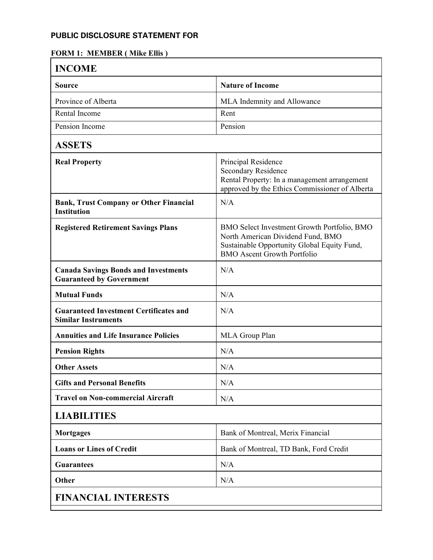#### **FORM 1: MEMBER ( Mike Ellis )**

| <b>INCOME</b>                                                                  |                                                                                                                                                                       |  |
|--------------------------------------------------------------------------------|-----------------------------------------------------------------------------------------------------------------------------------------------------------------------|--|
| <b>Source</b>                                                                  | <b>Nature of Income</b>                                                                                                                                               |  |
| Province of Alberta                                                            | MLA Indemnity and Allowance                                                                                                                                           |  |
| Rental Income                                                                  | Rent                                                                                                                                                                  |  |
| Pension Income                                                                 | Pension                                                                                                                                                               |  |
| <b>ASSETS</b>                                                                  |                                                                                                                                                                       |  |
| <b>Real Property</b>                                                           | Principal Residence<br>Secondary Residence<br>Rental Property: In a management arrangement<br>approved by the Ethics Commissioner of Alberta                          |  |
| <b>Bank, Trust Company or Other Financial</b><br><b>Institution</b>            | N/A                                                                                                                                                                   |  |
| <b>Registered Retirement Savings Plans</b>                                     | BMO Select Investment Growth Portfolio, BMO<br>North American Dividend Fund, BMO<br>Sustainable Opportunity Global Equity Fund,<br><b>BMO</b> Ascent Growth Portfolio |  |
| <b>Canada Savings Bonds and Investments</b><br><b>Guaranteed by Government</b> | N/A                                                                                                                                                                   |  |
| <b>Mutual Funds</b>                                                            | N/A                                                                                                                                                                   |  |
| <b>Guaranteed Investment Certificates and</b><br><b>Similar Instruments</b>    | N/A                                                                                                                                                                   |  |
| <b>Annuities and Life Insurance Policies</b>                                   | MLA Group Plan                                                                                                                                                        |  |
| <b>Pension Rights</b>                                                          | N/A                                                                                                                                                                   |  |
| <b>Other Assets</b>                                                            | N/A                                                                                                                                                                   |  |
| <b>Gifts and Personal Benefits</b>                                             | N/A                                                                                                                                                                   |  |
| <b>Travel on Non-commercial Aircraft</b>                                       | N/A                                                                                                                                                                   |  |
| <b>LIABILITIES</b>                                                             |                                                                                                                                                                       |  |
| <b>Mortgages</b>                                                               | Bank of Montreal, Merix Financial                                                                                                                                     |  |
| <b>Loans or Lines of Credit</b>                                                | Bank of Montreal, TD Bank, Ford Credit                                                                                                                                |  |
| <b>Guarantees</b>                                                              | N/A                                                                                                                                                                   |  |
| <b>Other</b>                                                                   | N/A                                                                                                                                                                   |  |
| <b>FINANCIAL INTERESTS</b>                                                     |                                                                                                                                                                       |  |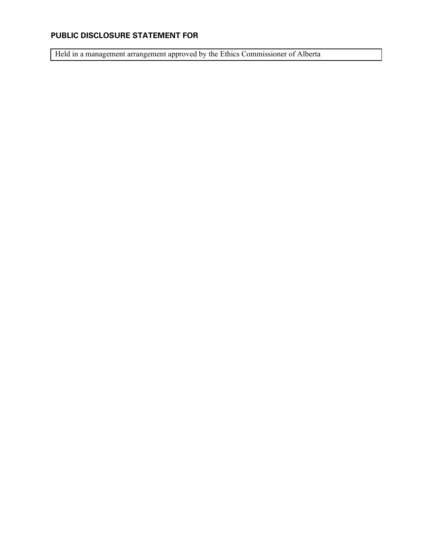Held in a management arrangement approved by the Ethics Commissioner of Alberta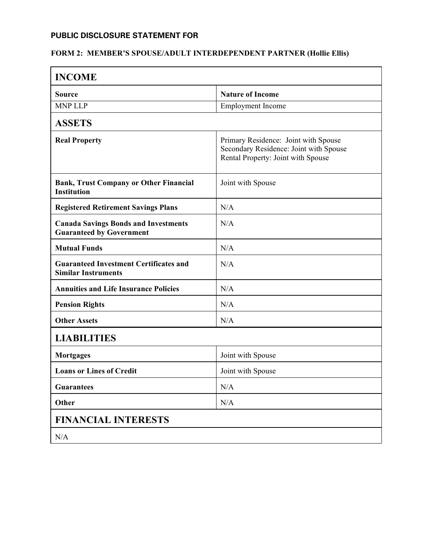#### **FORM 2: MEMBER'S SPOUSE/ADULT INTERDEPENDENT PARTNER (Hollie Ellis)**

| <b>INCOME</b>                                                                  |                                                                                                                      |  |
|--------------------------------------------------------------------------------|----------------------------------------------------------------------------------------------------------------------|--|
| Source                                                                         | <b>Nature of Income</b>                                                                                              |  |
| <b>MNP LLP</b>                                                                 | <b>Employment Income</b>                                                                                             |  |
| <b>ASSETS</b>                                                                  |                                                                                                                      |  |
| <b>Real Property</b>                                                           | Primary Residence: Joint with Spouse<br>Secondary Residence: Joint with Spouse<br>Rental Property: Joint with Spouse |  |
| <b>Bank, Trust Company or Other Financial</b><br><b>Institution</b>            | Joint with Spouse                                                                                                    |  |
| <b>Registered Retirement Savings Plans</b>                                     | N/A                                                                                                                  |  |
| <b>Canada Savings Bonds and Investments</b><br><b>Guaranteed by Government</b> | N/A                                                                                                                  |  |
| <b>Mutual Funds</b>                                                            | N/A                                                                                                                  |  |
| <b>Guaranteed Investment Certificates and</b><br><b>Similar Instruments</b>    | N/A                                                                                                                  |  |
| <b>Annuities and Life Insurance Policies</b>                                   | N/A                                                                                                                  |  |
| <b>Pension Rights</b>                                                          | N/A                                                                                                                  |  |
| <b>Other Assets</b>                                                            | N/A                                                                                                                  |  |
| <b>LIABILITIES</b>                                                             |                                                                                                                      |  |
| <b>Mortgages</b>                                                               | Joint with Spouse                                                                                                    |  |
| <b>Loans or Lines of Credit</b>                                                | Joint with Spouse                                                                                                    |  |
| <b>Guarantees</b>                                                              | N/A                                                                                                                  |  |
| Other                                                                          | N/A                                                                                                                  |  |
| <b>FINANCIAL INTERESTS</b>                                                     |                                                                                                                      |  |
| N/A                                                                            |                                                                                                                      |  |